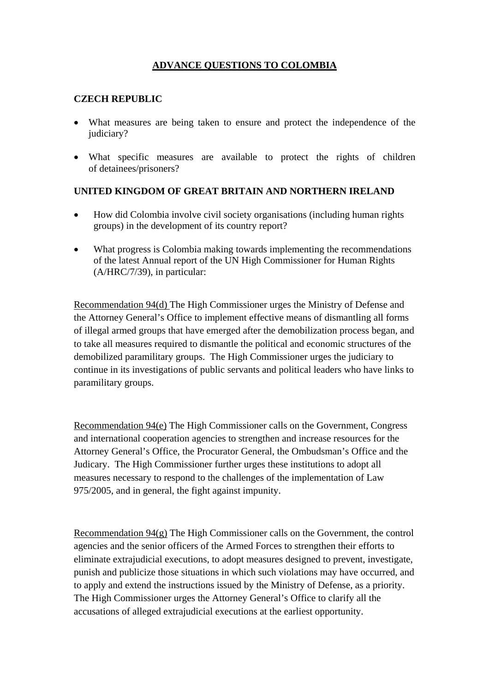## **ADVANCE QUESTIONS TO COLOMBIA**

## **CZECH REPUBLIC**

- What measures are being taken to ensure and protect the independence of the judiciary?
- What specific measures are available to protect the rights of children of detainees/prisoners?

## **UNITED KINGDOM OF GREAT BRITAIN AND NORTHERN IRELAND**

- How did Colombia involve civil society organisations (including human rights groups) in the development of its country report?
- What progress is Colombia making towards implementing the recommendations of the latest Annual report of the UN High Commissioner for Human Rights (A/HRC/7/39), in particular:

Recommendation 94(d) The High Commissioner urges the Ministry of Defense and the Attorney General's Office to implement effective means of dismantling all forms of illegal armed groups that have emerged after the demobilization process began, and to take all measures required to dismantle the political and economic structures of the demobilized paramilitary groups. The High Commissioner urges the judiciary to continue in its investigations of public servants and political leaders who have links to paramilitary groups.

Recommendation 94(e) The High Commissioner calls on the Government, Congress and international cooperation agencies to strengthen and increase resources for the Attorney General's Office, the Procurator General, the Ombudsman's Office and the Judicary. The High Commissioner further urges these institutions to adopt all measures necessary to respond to the challenges of the implementation of Law 975/2005, and in general, the fight against impunity.

Recommendation 94(g) The High Commissioner calls on the Government, the control agencies and the senior officers of the Armed Forces to strengthen their efforts to eliminate extrajudicial executions, to adopt measures designed to prevent, investigate, punish and publicize those situations in which such violations may have occurred, and to apply and extend the instructions issued by the Ministry of Defense, as a priority. The High Commissioner urges the Attorney General's Office to clarify all the accusations of alleged extrajudicial executions at the earliest opportunity.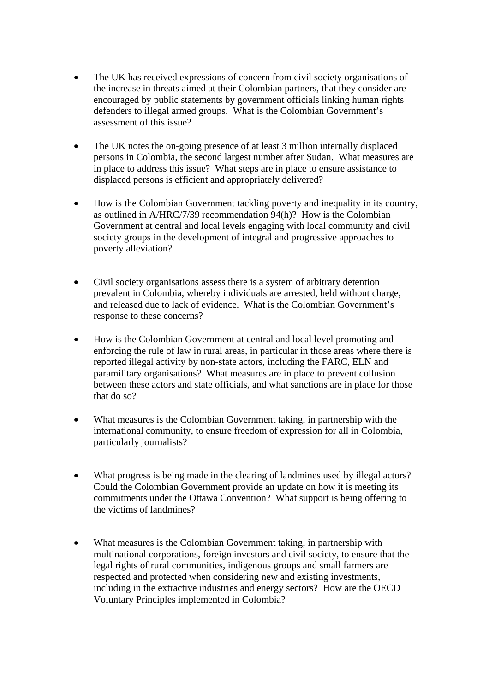- The UK has received expressions of concern from civil society organisations of the increase in threats aimed at their Colombian partners, that they consider are encouraged by public statements by government officials linking human rights defenders to illegal armed groups. What is the Colombian Government's assessment of this issue?
- The UK notes the on-going presence of at least 3 million internally displaced persons in Colombia, the second largest number after Sudan. What measures are in place to address this issue? What steps are in place to ensure assistance to displaced persons is efficient and appropriately delivered?
- How is the Colombian Government tackling poverty and inequality in its country, as outlined in A/HRC/7/39 recommendation 94(h)? How is the Colombian Government at central and local levels engaging with local community and civil society groups in the development of integral and progressive approaches to poverty alleviation?
- Civil society organisations assess there is a system of arbitrary detention prevalent in Colombia, whereby individuals are arrested, held without charge, and released due to lack of evidence. What is the Colombian Government's response to these concerns?
- How is the Colombian Government at central and local level promoting and enforcing the rule of law in rural areas, in particular in those areas where there is reported illegal activity by non-state actors, including the FARC, ELN and paramilitary organisations? What measures are in place to prevent collusion between these actors and state officials, and what sanctions are in place for those that do so?
- What measures is the Colombian Government taking, in partnership with the international community, to ensure freedom of expression for all in Colombia, particularly journalists?
- What progress is being made in the clearing of landmines used by illegal actors? Could the Colombian Government provide an update on how it is meeting its commitments under the Ottawa Convention? What support is being offering to the victims of landmines?
- What measures is the Colombian Government taking, in partnership with multinational corporations, foreign investors and civil society, to ensure that the legal rights of rural communities, indigenous groups and small farmers are respected and protected when considering new and existing investments, including in the extractive industries and energy sectors? How are the OECD Voluntary Principles implemented in Colombia?